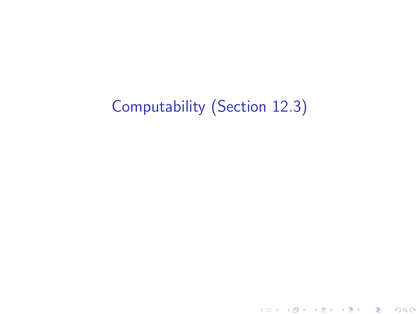# Computability (Section 12.3)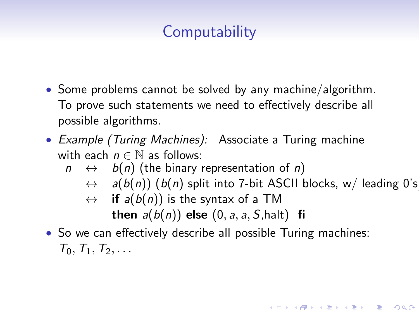# **Computability**

- Some problems cannot be solved by any machine/algorithm. To prove such statements we need to effectively describe all possible algorithms.
- Example (Turing Machines): Associate a Turing machine with each  $n \in \mathbb{N}$  as follows:
	- $n \leftrightarrow b(n)$  (the binary representation of n)
		- $\leftrightarrow$  a(b(n)) (b(n) split into 7-bit ASCII blocks, w/ leading 0's

- $\leftrightarrow$  if  $a(b(n))$  is the syntax of a TM then  $a(b(n))$  else  $(0, a, a, S, halt)$  fi
- So we can effectively describe all possible Turing machines:  $T_0, T_1, T_2, \ldots$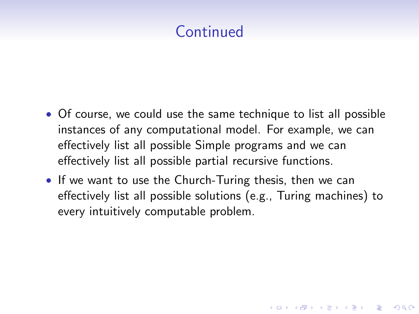# **Continued**

- Of course, we could use the same technique to list all possible instances of any computational model. For example, we can effectively list all possible Simple programs and we can effectively list all possible partial recursive functions.
- If we want to use the Church-Turing thesis, then we can effectively list all possible solutions (e.g., Turing machines) to every intuitively computable problem.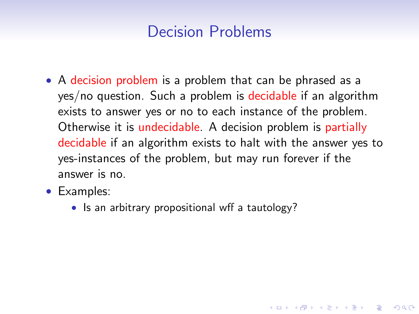• A decision problem is a problem that can be phrased as a yes/no question. Such a problem is decidable if an algorithm exists to answer yes or no to each instance of the problem. Otherwise it is undecidable. A decision problem is partially decidable if an algorithm exists to halt with the answer yes to yes-instances of the problem, but may run forever if the answer is no.

- Examples:
	- Is an arbitrary propositional wff a tautology?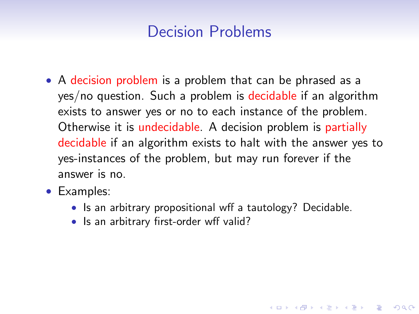- A decision problem is a problem that can be phrased as a yes/no question. Such a problem is decidable if an algorithm exists to answer yes or no to each instance of the problem. Otherwise it is undecidable. A decision problem is partially decidable if an algorithm exists to halt with the answer yes to yes-instances of the problem, but may run forever if the answer is no.
- Examples:
	- Is an arbitrary propositional wff a tautology? Decidable.

**KORKA SERKER ORA** 

• Is an arbitrary first-order wff valid?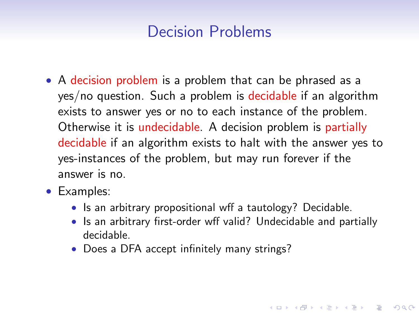- A decision problem is a problem that can be phrased as a yes/no question. Such a problem is decidable if an algorithm exists to answer yes or no to each instance of the problem. Otherwise it is undecidable. A decision problem is partially decidable if an algorithm exists to halt with the answer yes to yes-instances of the problem, but may run forever if the answer is no.
- Examples:
	- Is an arbitrary propositional wff a tautology? Decidable.
	- Is an arbitrary first-order wff valid? Undecidable and partially decidable.

**KORKA SERKER ORA** 

• Does a DFA accept infinitely many strings?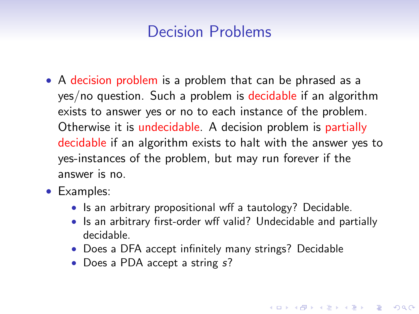- A decision problem is a problem that can be phrased as a yes/no question. Such a problem is decidable if an algorithm exists to answer yes or no to each instance of the problem. Otherwise it is undecidable. A decision problem is partially decidable if an algorithm exists to halt with the answer yes to yes-instances of the problem, but may run forever if the answer is no.
- Examples:
	- Is an arbitrary propositional wff a tautology? Decidable.
	- Is an arbitrary first-order wff valid? Undecidable and partially decidable.

- Does a DFA accept infinitely many strings? Decidable
- Does a PDA accept a string s?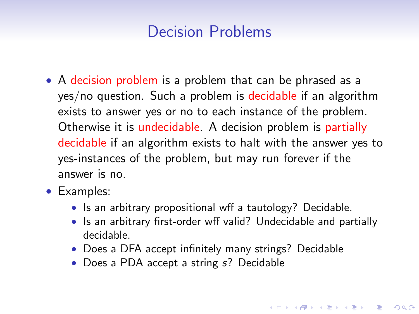- A decision problem is a problem that can be phrased as a yes/no question. Such a problem is decidable if an algorithm exists to answer yes or no to each instance of the problem. Otherwise it is undecidable. A decision problem is partially decidable if an algorithm exists to halt with the answer yes to yes-instances of the problem, but may run forever if the answer is no.
- Examples:
	- Is an arbitrary propositional wff a tautology? Decidable.
	- Is an arbitrary first-order wff valid? Undecidable and partially decidable.

- Does a DFA accept infinitely many strings? Decidable
- Does a PDA accept a string s? Decidable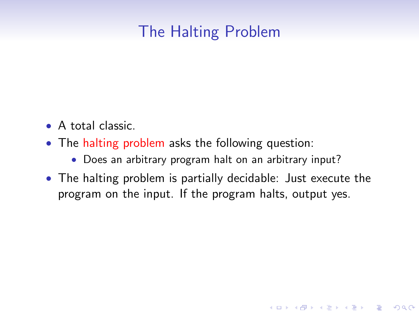# The Halting Problem

- A total classic.
- The halting problem asks the following question:
	- Does an arbitrary program halt on an arbitrary input?
- The halting problem is partially decidable: Just execute the program on the input. If the program halts, output yes.

**KORK ERKER ADE YOUR**